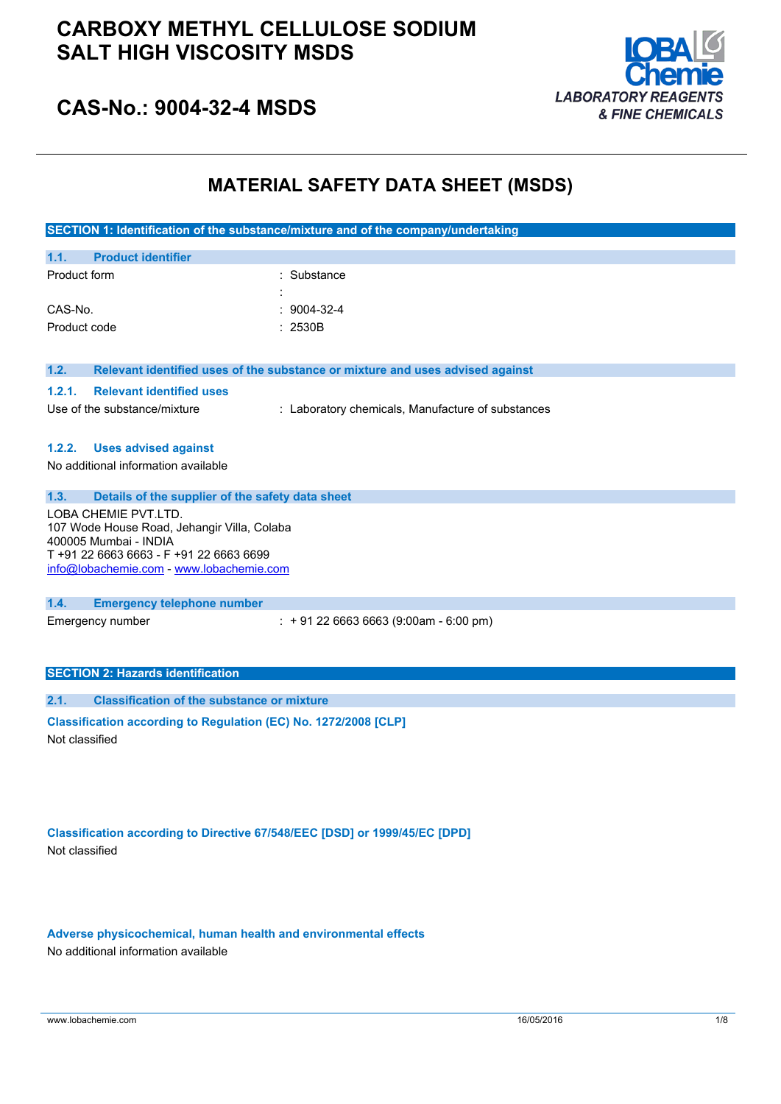

## **CAS-No.: 9004-32-4 MSDS**

## **MATERIAL SAFETY DATA SHEET (MSDS)**

|                                                                                                                                                                                   | SECTION 1: Identification of the substance/mixture and of the company/undertaking |  |
|-----------------------------------------------------------------------------------------------------------------------------------------------------------------------------------|-----------------------------------------------------------------------------------|--|
| 1.1.<br><b>Product identifier</b>                                                                                                                                                 |                                                                                   |  |
| Product form                                                                                                                                                                      | : Substance                                                                       |  |
| CAS-No.                                                                                                                                                                           | 9004-32-4                                                                         |  |
| Product code                                                                                                                                                                      | : 2530B                                                                           |  |
| 1.2.                                                                                                                                                                              | Relevant identified uses of the substance or mixture and uses advised against     |  |
| 1.2.1.<br><b>Relevant identified uses</b>                                                                                                                                         |                                                                                   |  |
| Use of the substance/mixture                                                                                                                                                      | : Laboratory chemicals, Manufacture of substances                                 |  |
| 1.2.2.<br><b>Uses advised against</b>                                                                                                                                             |                                                                                   |  |
| No additional information available                                                                                                                                               |                                                                                   |  |
| 1.3.<br>Details of the supplier of the safety data sheet                                                                                                                          |                                                                                   |  |
| LOBA CHEMIE PVT.LTD.<br>107 Wode House Road, Jehangir Villa, Colaba<br>400005 Mumbai - INDIA<br>T+91 22 6663 6663 - F+91 22 6663 6699<br>info@lobachemie.com - www.lobachemie.com |                                                                                   |  |
| 1.4.<br><b>Emergency telephone number</b>                                                                                                                                         |                                                                                   |  |
| Emergency number                                                                                                                                                                  | $: +912266636663(9:00am - 6:00 pm)$                                               |  |
| <b>SECTION 2: Hazards identification</b>                                                                                                                                          |                                                                                   |  |
| <b>Classification of the substance or mixture</b><br>2.1.                                                                                                                         |                                                                                   |  |
| Classification according to Regulation (EC) No. 1272/2008 [CLP]<br>Not classified                                                                                                 |                                                                                   |  |

**Classification according to Directive 67/548/EEC [DSD] or 1999/45/EC [DPD]** Not classified

**Adverse physicochemical, human health and environmental effects** No additional information available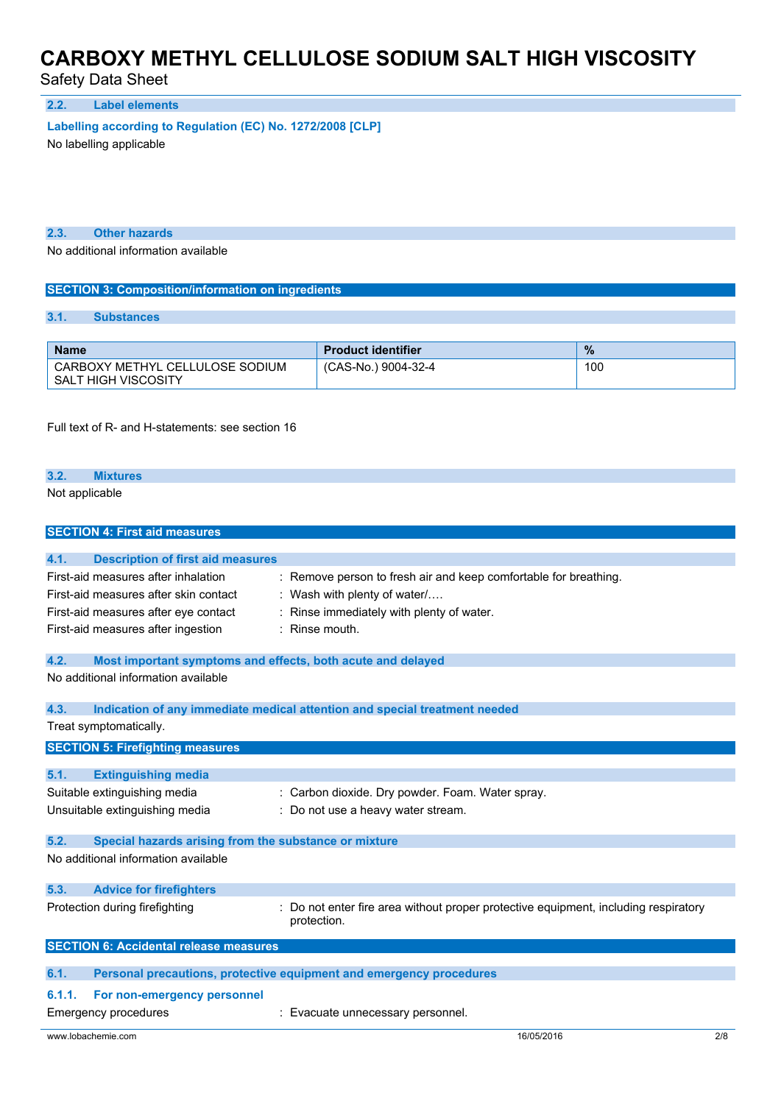Safety Data Sheet

### **2.2. Label elements**

**Labelling according to** Regulation (EC) No. 1272/2008 [CLP]

No labelling applicable

**2.3. Other hazards**

No additional information available

### **SECTION 3: Composition/information on ingredients**

### **3.1. Substances**

| <b>Name</b>                                            | <b>Product identifier</b> | $\%$ |
|--------------------------------------------------------|---------------------------|------|
| CARBOXY METHYL CELLULOSE SODIUM<br>SALT HIGH VISCOSITY | (CAS-No.) 9004-32-4       | 100  |

Full text of R- and H-statements: see section 16

### **3.2. Mixtures**

Not applicable

**SECTION 4: First aid measures**

| <b>SECTION 4: FIRST AID MEASURES</b>                                |                                                                                   |     |
|---------------------------------------------------------------------|-----------------------------------------------------------------------------------|-----|
|                                                                     |                                                                                   |     |
| 4.1.<br><b>Description of first aid measures</b>                    |                                                                                   |     |
| First-aid measures after inhalation                                 | Remove person to fresh air and keep comfortable for breathing.                    |     |
| First-aid measures after skin contact                               | Wash with plenty of water/                                                        |     |
| First-aid measures after eye contact                                | Rinse immediately with plenty of water.                                           |     |
| First-aid measures after ingestion                                  | Rinse mouth.                                                                      |     |
|                                                                     |                                                                                   |     |
| 4.2.<br>Most important symptoms and effects, both acute and delayed |                                                                                   |     |
| No additional information available                                 |                                                                                   |     |
|                                                                     |                                                                                   |     |
| 4.3.                                                                | Indication of any immediate medical attention and special treatment needed        |     |
| Treat symptomatically.                                              |                                                                                   |     |
| <b>SECTION 5: Firefighting measures</b>                             |                                                                                   |     |
| 5.1.                                                                |                                                                                   |     |
| <b>Extinguishing media</b>                                          |                                                                                   |     |
| Suitable extinguishing media                                        | : Carbon dioxide. Dry powder. Foam. Water spray.                                  |     |
| Unsuitable extinguishing media                                      | : Do not use a heavy water stream.                                                |     |
| 5.2.<br>Special hazards arising from the substance or mixture       |                                                                                   |     |
| No additional information available                                 |                                                                                   |     |
|                                                                     |                                                                                   |     |
| 5.3.<br><b>Advice for firefighters</b>                              |                                                                                   |     |
| Protection during firefighting                                      | Do not enter fire area without proper protective equipment, including respiratory |     |
|                                                                     | protection.                                                                       |     |
| <b>SECTION 6: Accidental release measures</b>                       |                                                                                   |     |
|                                                                     |                                                                                   |     |
| 6.1.                                                                | Personal precautions, protective equipment and emergency procedures               |     |
| 6.1.1.<br>For non-emergency personnel                               |                                                                                   |     |
| Emergency procedures                                                | Evacuate unnecessary personnel.                                                   |     |
| www.lobachemie.com                                                  | 16/05/2016                                                                        | 2/8 |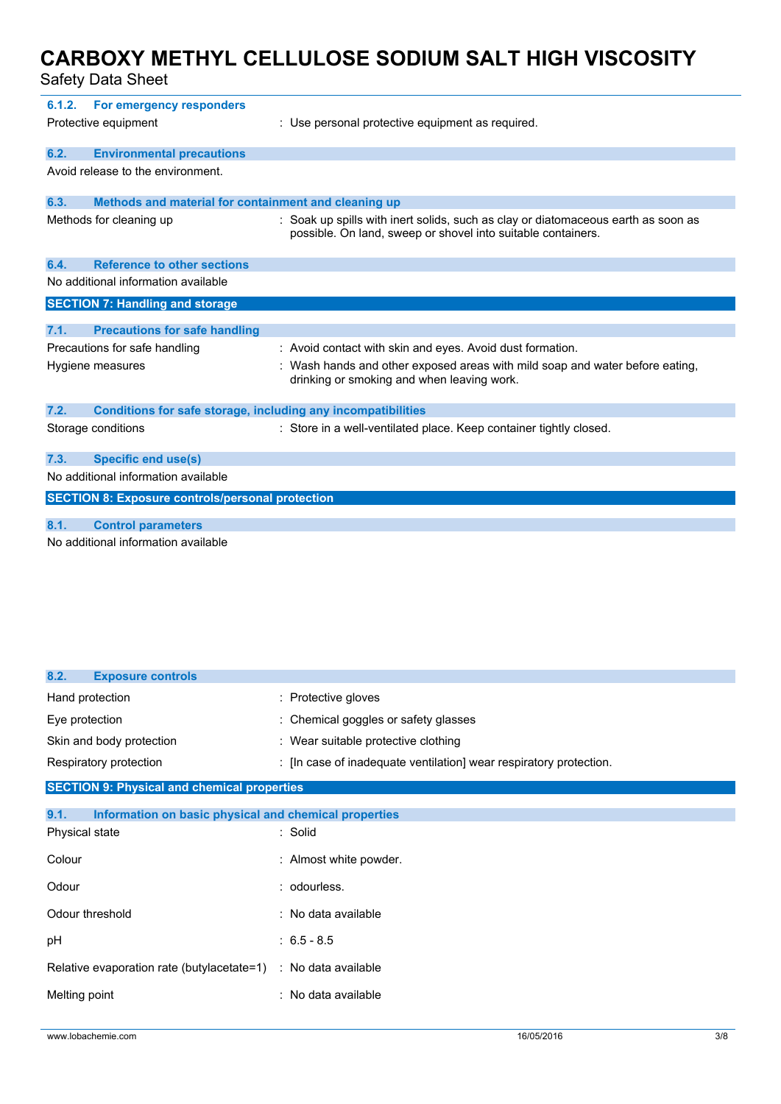Safety Data Sheet

| 6.1.2.                              | For emergency responders<br>Protective equipment                      | : Use personal protective equipment as required.                                                                                                  |  |
|-------------------------------------|-----------------------------------------------------------------------|---------------------------------------------------------------------------------------------------------------------------------------------------|--|
| 6.2.                                | <b>Environmental precautions</b><br>Avoid release to the environment. |                                                                                                                                                   |  |
| 6.3.                                | Methods and material for containment and cleaning up                  |                                                                                                                                                   |  |
|                                     | Methods for cleaning up                                               | : Soak up spills with inert solids, such as clay or diatomaceous earth as soon as<br>possible. On land, sweep or shovel into suitable containers. |  |
| 6.4.                                | <b>Reference to other sections</b>                                    |                                                                                                                                                   |  |
|                                     | No additional information available                                   |                                                                                                                                                   |  |
|                                     | <b>SECTION 7: Handling and storage</b>                                |                                                                                                                                                   |  |
| 7.1.                                | <b>Precautions for safe handling</b>                                  |                                                                                                                                                   |  |
|                                     | Precautions for safe handling                                         | : Avoid contact with skin and eyes. Avoid dust formation.                                                                                         |  |
|                                     | Hygiene measures                                                      | : Wash hands and other exposed areas with mild soap and water before eating.<br>drinking or smoking and when leaving work.                        |  |
| 7.2.                                | <b>Conditions for safe storage, including any incompatibilities</b>   |                                                                                                                                                   |  |
|                                     | Storage conditions                                                    | : Store in a well-ventilated place. Keep container tightly closed.                                                                                |  |
| 7.3.                                | <b>Specific end use(s)</b>                                            |                                                                                                                                                   |  |
| No additional information available |                                                                       |                                                                                                                                                   |  |
|                                     | <b>SECTION 8: Exposure controls/personal protection</b>               |                                                                                                                                                   |  |
| 8.1.                                | <b>Control parameters</b>                                             |                                                                                                                                                   |  |
|                                     | No additional information available                                   |                                                                                                                                                   |  |

| 8.2.<br><b>Exposure controls</b>                              |                                                                    |
|---------------------------------------------------------------|--------------------------------------------------------------------|
| Hand protection                                               | : Protective gloves                                                |
| Eye protection                                                | : Chemical goggles or safety glasses                               |
| Skin and body protection                                      | : Wear suitable protective clothing                                |
| Respiratory protection                                        | : [In case of inadequate ventilation] wear respiratory protection. |
| <b>SECTION 9: Physical and chemical properties</b>            |                                                                    |
| 9.1.<br>Information on basic physical and chemical properties |                                                                    |
| Physical state                                                | : Solid                                                            |
| Colour                                                        | : Almost white powder.                                             |
| Odour                                                         | : odourless.                                                       |
| Odour threshold                                               | : No data available                                                |
| pH                                                            | $: 6.5 - 8.5$                                                      |
| Relative evaporation rate (butylacetate=1)                    | : No data available                                                |
| Melting point                                                 | : No data available                                                |
|                                                               |                                                                    |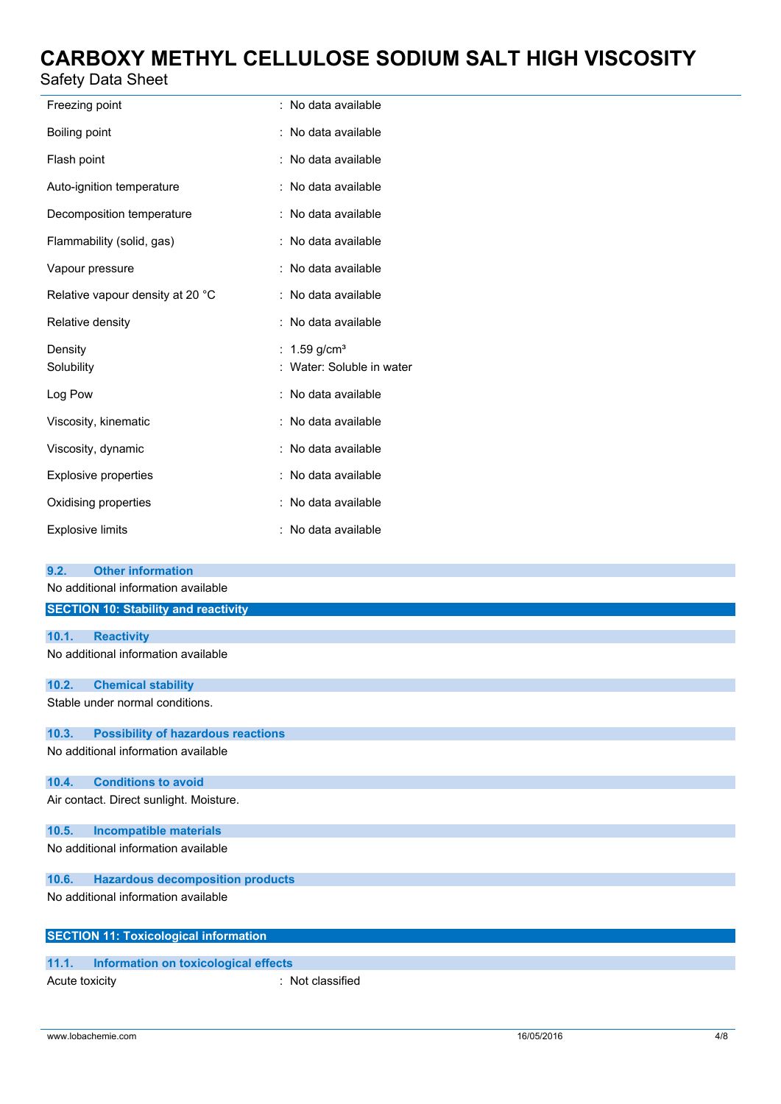## Safety Data Sheet

| Freezing point                   | : No data available                               |
|----------------------------------|---------------------------------------------------|
|                                  |                                                   |
| Boiling point                    | : No data available                               |
| Flash point                      | : No data available                               |
| Auto-ignition temperature        | No data available                                 |
| Decomposition temperature        | : No data available                               |
| Flammability (solid, gas)        | : No data available                               |
| Vapour pressure                  | No data available                                 |
| Relative vapour density at 20 °C | : No data available                               |
| Relative density                 | : No data available                               |
|                                  |                                                   |
| Density<br>Solubility            | 1.59 g/cm <sup>3</sup><br>Water: Soluble in water |
| Log Pow                          | No data available                                 |
| Viscosity, kinematic             | No data available                                 |
| Viscosity, dynamic               | : No data available                               |
| <b>Explosive properties</b>      | No data available                                 |
| Oxidising properties             | No data available                                 |
| <b>Explosive limits</b>          | : No data available                               |
| 9.2.<br><b>Other information</b> |                                                   |

No additional information available

|       | <b>SECTION 10: Stability and reactivity</b>  |
|-------|----------------------------------------------|
|       |                                              |
| 10.1. | <b>Reactivity</b>                            |
|       | No additional information available          |
| 10.2. | <b>Chemical stability</b>                    |
|       | Stable under normal conditions.              |
| 10.3. | <b>Possibility of hazardous reactions</b>    |
|       | No additional information available          |
| 10.4. | <b>Conditions to avoid</b>                   |
|       | Air contact. Direct sunlight. Moisture.      |
| 10.5. | <b>Incompatible materials</b>                |
|       | No additional information available          |
| 10.6. | <b>Hazardous decomposition products</b>      |
|       | No additional information available          |
|       | <b>SECTION 11: Toxicological information</b> |
|       |                                              |

### **11.1. Information on toxicological effects** Acute toxicity **in the case of the CALC** in Not classified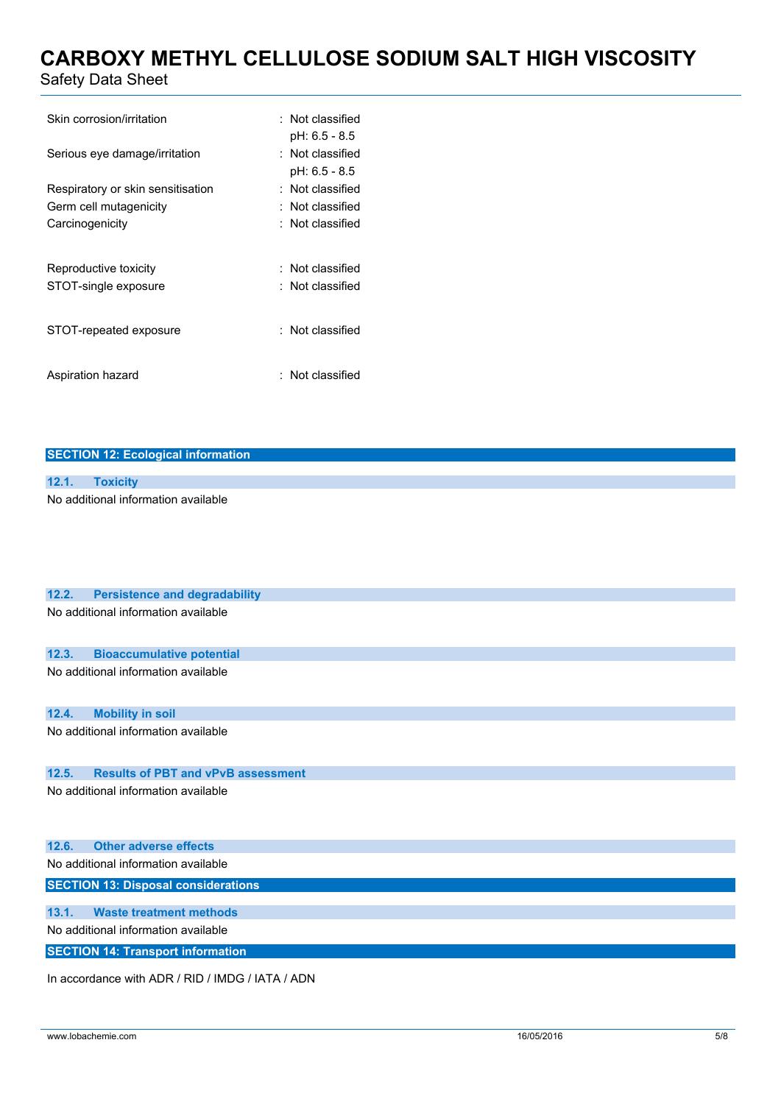Safety Data Sheet

| Skin corrosion/irritation         | $\pm$ Not classified<br>pH: 6.5 - 8.5 |
|-----------------------------------|---------------------------------------|
| Serious eye damage/irritation     | $\pm$ Not classified<br>pH: 6.5 - 8.5 |
| Respiratory or skin sensitisation | : Not classified                      |
| Germ cell mutagenicity            | $\colon$ Not classified               |
| Carcinogenicity                   | $\colon$ Not classified               |
| Reproductive toxicity             | $\pm$ Not classified                  |
| STOT-single exposure              | : Not classified                      |
| STOT-repeated exposure            | $:$ Not classified                    |
| Aspiration hazard                 | $\pm$ Not classified                  |

|  |  |  |  | <b>SECTION 12: Ecological information</b> |
|--|--|--|--|-------------------------------------------|
|  |  |  |  |                                           |

| 12.1. Toxicity                      |
|-------------------------------------|
| No additional information available |

| 12.2. | <b>Persistence and degradability</b>             |
|-------|--------------------------------------------------|
|       | No additional information available              |
| 12.3. | <b>Bioaccumulative potential</b>                 |
|       | No additional information available              |
| 12.4. | <b>Mobility in soil</b>                          |
|       | No additional information available              |
| 12.5. | <b>Results of PBT and vPvB assessment</b>        |
|       | No additional information available              |
| 12.6. | <b>Other adverse effects</b>                     |
|       | No additional information available              |
|       | <b>SECTION 13: Disposal considerations</b>       |
| 13.1. | <b>Waste treatment methods</b>                   |
|       | No additional information available              |
|       | <b>SECTION 14: Transport information</b>         |
|       | In accordance with ADR / RID / IMDG / IATA / ADN |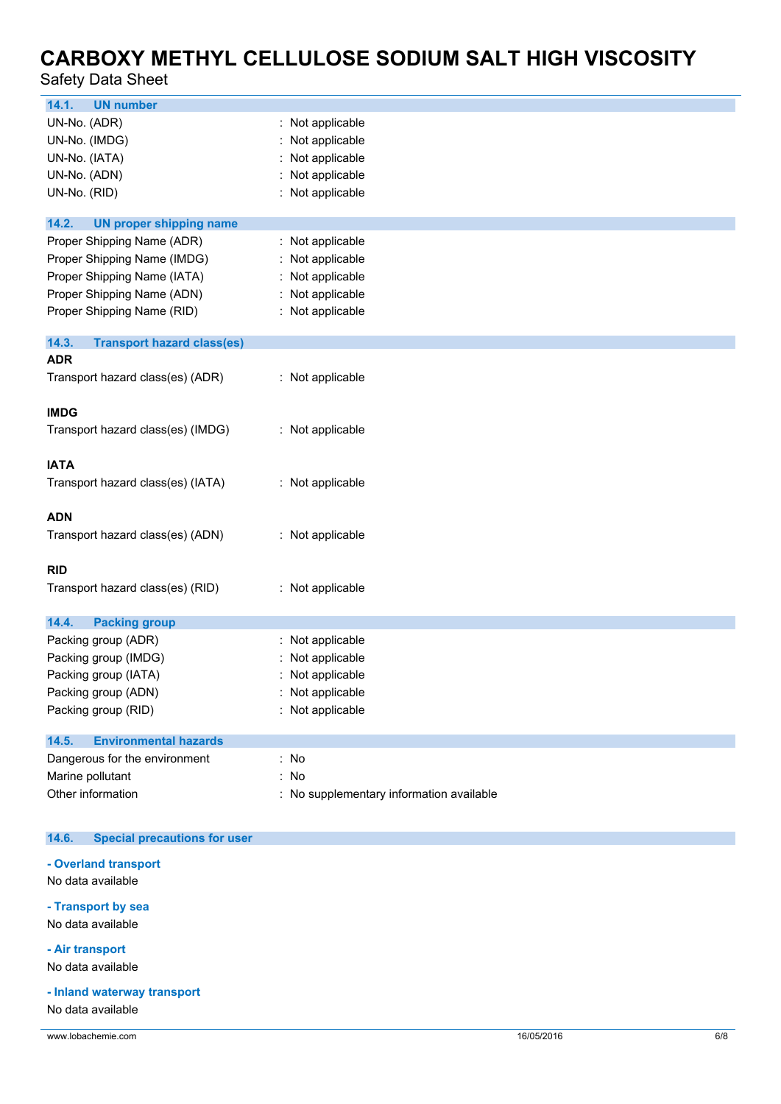Safety Data Sheet

| 14.1.<br><b>UN number</b>                  |                                          |
|--------------------------------------------|------------------------------------------|
| UN-No. (ADR)                               | : Not applicable                         |
| UN-No. (IMDG)                              | : Not applicable                         |
| UN-No. (IATA)                              | Not applicable                           |
| UN-No. (ADN)                               | Not applicable                           |
| UN-No. (RID)                               | : Not applicable                         |
|                                            |                                          |
| 14.2.<br><b>UN proper shipping name</b>    |                                          |
| Proper Shipping Name (ADR)                 | : Not applicable                         |
| Proper Shipping Name (IMDG)                | : Not applicable                         |
| Proper Shipping Name (IATA)                | : Not applicable                         |
| Proper Shipping Name (ADN)                 | : Not applicable                         |
| Proper Shipping Name (RID)                 | : Not applicable                         |
| 14.3.<br><b>Transport hazard class(es)</b> |                                          |
| <b>ADR</b>                                 |                                          |
| Transport hazard class(es) (ADR)           | : Not applicable                         |
|                                            |                                          |
| <b>IMDG</b>                                |                                          |
| Transport hazard class(es) (IMDG)          | : Not applicable                         |
|                                            |                                          |
| <b>IATA</b>                                |                                          |
| Transport hazard class(es) (IATA)          | : Not applicable                         |
|                                            |                                          |
| <b>ADN</b>                                 |                                          |
| Transport hazard class(es) (ADN)           | : Not applicable                         |
|                                            |                                          |
| <b>RID</b>                                 |                                          |
| Transport hazard class(es) (RID)           | : Not applicable                         |
|                                            |                                          |
| 14.4.<br><b>Packing group</b>              |                                          |
| Packing group (ADR)                        | : Not applicable                         |
| Packing group (IMDG)                       | Not applicable                           |
| Packing group (IATA)                       | : Not applicable                         |
| Packing group (ADN)                        | Not applicable                           |
| Packing group (RID)                        | : Not applicable                         |
| 14.5.<br><b>Environmental hazards</b>      |                                          |
| Dangerous for the environment              | : No                                     |
| Marine pollutant                           | : No                                     |
| Other information                          | : No supplementary information available |
|                                            |                                          |

#### $14.6.$ **14.6. Special precautions for user**

## **- Overland transport**

No data available

## **- Transport by sea**

No data available

## **- Air transport**

No data available

## **- Inland waterway transport**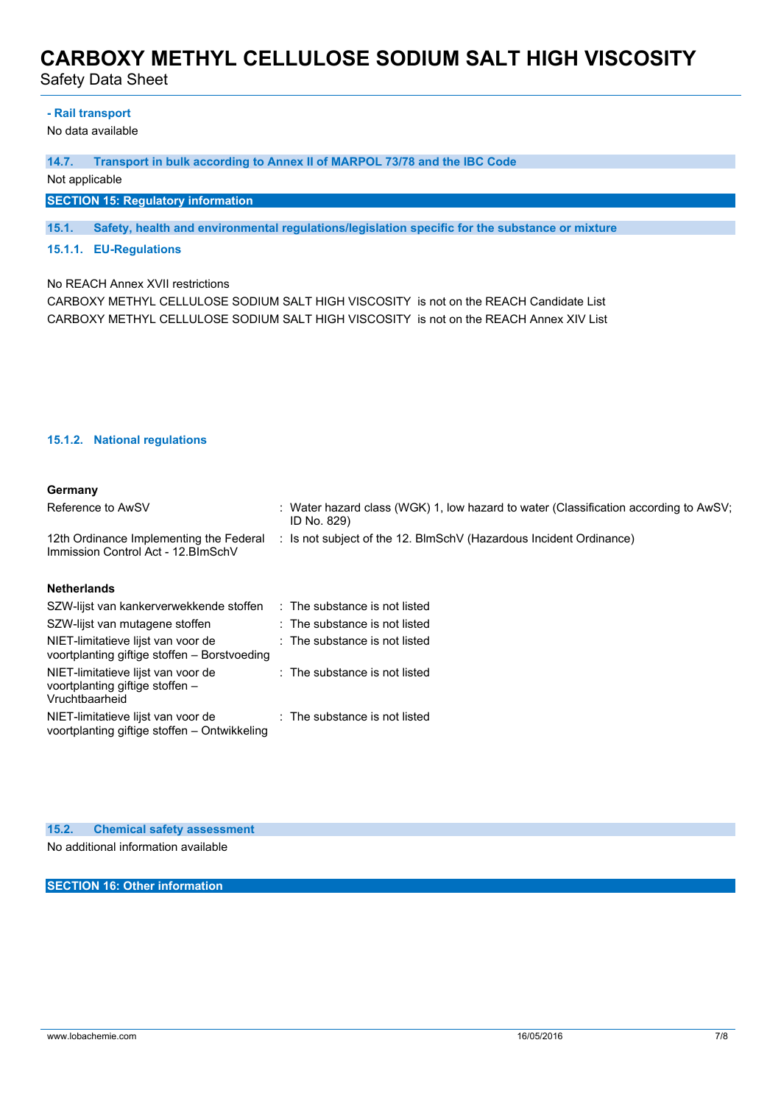Safety Data Sheet

### **- Rail transport**

No data available

**14.7. Transport in bulk according to Annex II of MARPOL 73/78 and the IBC Code**

Not applicable

## **SECTION 15: Regulatory information**

**15.1. Safety, health and environmental regulations/legislation specific for the substance or mixture**

## **15.1.1. EU-Regulations**

No REACH Annex XVII restrictions

CARBOXY METHYL CELLULOSE SODIUM SALT HIGH VISCOSITY is not on the REACH Candidate List CARBOXY METHYL CELLULOSE SODIUM SALT HIGH VISCOSITY is not on the REACH Annex XIV List

## **15.1.2. National regulations**

### **Germany**

| Reference to AwSV                                                              | : Water hazard class (WGK) 1, low hazard to water (Classification according to AwSV;<br>ID No. 829) |
|--------------------------------------------------------------------------------|-----------------------------------------------------------------------------------------------------|
| 12th Ordinance Implementing the Federal<br>Immission Control Act - 12. BlmSchV | : Is not subject of the 12. BlmSchV (Hazardous Incident Ordinance)                                  |
| <b>Alla Alla a called and alla</b>                                             |                                                                                                     |

### **Netherlands**

| SZW-lijst van kankerverwekkende stoffen                                                 | : The substance is not listed |  |
|-----------------------------------------------------------------------------------------|-------------------------------|--|
| SZW-lijst van mutagene stoffen                                                          | : The substance is not listed |  |
| NIET-limitatieve lijst van voor de<br>voortplanting giftige stoffen - Borstvoeding      | : The substance is not listed |  |
| NIET-limitatieve lijst van voor de<br>voortplanting giftige stoffen -<br>Vruchtbaarheid | : The substance is not listed |  |
| NIET-limitatieve lijst van voor de<br>voortplanting giftige stoffen - Ontwikkeling      | : The substance is not listed |  |

**15.2. Chemical safety assessment** No additional information available

**SECTION 16: Other information**